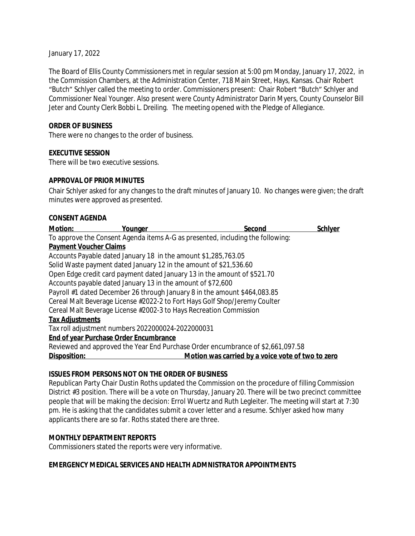January 17, 2022

The Board of Ellis County Commissioners met in regular session at 5:00 pm Monday, January 17, 2022, in the Commission Chambers, at the Administration Center, 718 Main Street, Hays, Kansas. Chair Robert "Butch" Schlyer called the meeting to order. Commissioners present: Chair Robert "Butch" Schlyer and Commissioner Neal Younger. Also present were County Administrator Darin Myers, County Counselor Bill Jeter and County Clerk Bobbi L. Dreiling. The meeting opened with the Pledge of Allegiance.

### **ORDER OF BUSINESS**

There were no changes to the order of business.

### **EXECUTIVE SESSION**

There will be two executive sessions.

#### **APPROVAL OF PRIOR MINUTES**

Chair Schlyer asked for any changes to the draft minutes of January 10. No changes were given; the draft minutes were approved as presented.

#### **CONSENT AGENDA**

| <b>Motion:</b>                | Younger                                                                        | Second                                                                          | <b>Schlyer</b> |
|-------------------------------|--------------------------------------------------------------------------------|---------------------------------------------------------------------------------|----------------|
|                               | To approve the Consent Agenda items A-G as presented, including the following: |                                                                                 |                |
| <b>Payment Voucher Claims</b> |                                                                                |                                                                                 |                |
|                               | Accounts Payable dated January 18 in the amount \$1,285,763.05                 |                                                                                 |                |
|                               | Solid Waste payment dated January 12 in the amount of \$21,536.60              |                                                                                 |                |
|                               | Open Edge credit card payment dated January 13 in the amount of \$521.70       |                                                                                 |                |
|                               | Accounts payable dated January 13 in the amount of \$72,600                    |                                                                                 |                |
|                               | Payroll #1 dated December 26 through January 8 in the amount \$464,083.85      |                                                                                 |                |
|                               | Cereal Malt Beverage License #2022-2 to Fort Hays Golf Shop/Jeremy Coulter     |                                                                                 |                |
|                               | Cereal Malt Beverage License #2002-3 to Hays Recreation Commission             |                                                                                 |                |
| <b>Tax Adjustments</b>        |                                                                                |                                                                                 |                |
|                               | Tax roll adjustment numbers 2022000024-2022000031                              |                                                                                 |                |
|                               | <b>End of year Purchase Order Encumbrance</b>                                  |                                                                                 |                |
|                               |                                                                                | Reviewed and approved the Year End Purchase Order encumbrance of \$2,661,097.58 |                |
| Disposition:                  |                                                                                | Motion was carried by a voice vote of two to zero                               |                |

#### **ISSUES FROM PERSONS NOT ON THE ORDER OF BUSINESS**

Republican Party Chair Dustin Roths updated the Commission on the procedure of filling Commission District #3 position. There will be a vote on Thursday, January 20. There will be two precinct committee people that will be making the decision: Errol Wuertz and Ruth Legleiter. The meeting will start at 7:30 pm. He is asking that the candidates submit a cover letter and a resume. Schlyer asked how many applicants there are so far. Roths stated there are three.

#### **MONTHLY DEPARTMENT REPORTS**

Commissioners stated the reports were very informative.

### **EMERGENCY MEDICAL SERVICES AND HEALTH ADMNISTRATOR APPOINTMENTS**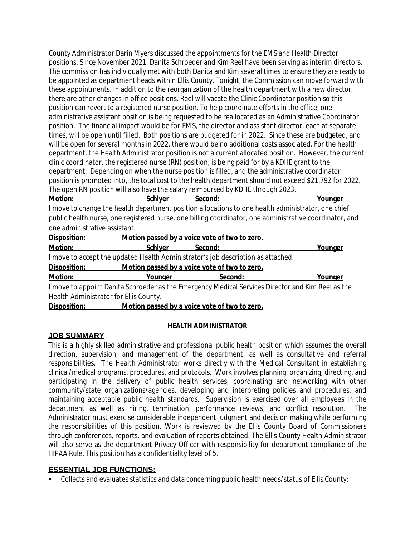County Administrator Darin Myers discussed the appointments for the EMS and Health Director positions. Since November 2021, Danita Schroeder and Kim Reel have been serving as interim directors. The commission has individually met with both Danita and Kim several times to ensure they are ready to be appointed as department heads within Ellis County. Tonight, the Commission can move forward with these appointments. In addition to the reorganization of the health department with a new director, there are other changes in office positions. Reel will vacate the Clinic Coordinator position so this position can revert to a registered nurse position. To help coordinate efforts in the office, one administrative assistant position is being requested to be reallocated as an Administrative Coordinator position. The financial impact would be for EMS, the director and assistant director, each at separate times, will be open until filled. Both positions are budgeted for in 2022. Since these are budgeted, and will be open for several months in 2022, there would be no additional costs associated. For the health department, the Health Administrator position is not a current allocated position. However, the current clinic coordinator, the registered nurse (RN) position, is being paid for by a KDHE grant to the department. Depending on when the nurse position is filled, and the administrative coordinator position is promoted into, the total cost to the health department should not exceed \$21,792 for 2022. The open RN position will also have the salary reimbursed by KDHE through 2023.

| <b>Motion:</b> | schlver | Second: | Younger |
|----------------|---------|---------|---------|
|                |         |         |         |
|                |         |         |         |

I move to change the health department position allocations to one health administrator, one chief public health nurse, one registered nurse, one billing coordinator, one administrative coordinator, and one administrative assistant.

| Disposition:                                                                     |                | Motion passed by a voice vote of two to zero. |                                                                                                   |  |  |
|----------------------------------------------------------------------------------|----------------|-----------------------------------------------|---------------------------------------------------------------------------------------------------|--|--|
| Motion:                                                                          | <b>Schlyer</b> | Second:                                       | Younger                                                                                           |  |  |
| I move to accept the updated Health Administrator's job description as attached. |                |                                               |                                                                                                   |  |  |
| Disposition:                                                                     |                | Motion passed by a voice vote of two to zero. |                                                                                                   |  |  |
| Motion:                                                                          | Younger        | Second:                                       | Younger                                                                                           |  |  |
|                                                                                  |                |                                               | I move to appoint Danita Schroeder as the Emergency Medical Services Director and Kim Reel as the |  |  |
| Health Administrator for Ellis County.                                           |                |                                               |                                                                                                   |  |  |

**Disposition: Motion passed by a voice vote of two to zero.**

## **JOB SUMMARY**

## **HEALTH ADMINISTRATOR**

This is a highly skilled administrative and professional public health position which assumes the overall direction, supervision, and management of the department, as well as consultative and referral responsibilities. The Health Administrator works directly with the Medical Consultant in establishing clinical/medical programs, procedures, and protocols. Work involves planning, organizing, directing, and participating in the delivery of public health services, coordinating and networking with other community/state organizations/agencies, developing and interpreting policies and procedures, and maintaining acceptable public health standards. Supervision is exercised over all employees in the department as well as hiring, termination, performance reviews, and conflict resolution. The Administrator must exercise considerable independent judgment and decision making while performing the responsibilities of this position. Work is reviewed by the Ellis County Board of Commissioners through conferences, reports, and evaluation of reports obtained. The Ellis County Health Administrator will also serve as the department Privacy Officer with responsibility for department compliance of the HIPAA Rule. This position has a confidentiality level of 5.

## **ESSENTIAL JOB FUNCTIONS:**

• Collects and evaluates statistics and data concerning public health needs/status of Ellis County;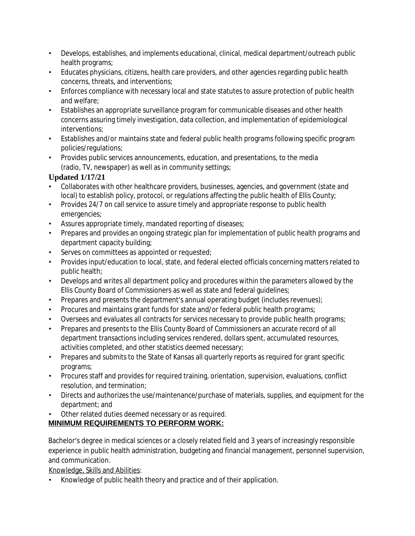- Develops, establishes, and implements educational, clinical, medical department/outreach public health programs;
- Educates physicians, citizens, health care providers, and other agencies regarding public health concerns, threats, and interventions;
- Enforces compliance with necessary local and state statutes to assure protection of public health and welfare;
- Establishes an appropriate surveillance program for communicable diseases and other health concerns assuring timely investigation, data collection, and implementation of epidemiological interventions;
- Establishes and/or maintains state and federal public health programs following specific program policies/regulations;
- Provides public services announcements, education, and presentations, to the media (radio, TV, newspaper) as well as in community settings;

# **Updated 1/17/21**

- Collaborates with other healthcare providers, businesses, agencies, and government (state and local) to establish policy, protocol, or regulations affecting the public health of Ellis County;
- Provides 24/7 on call service to assure timely and appropriate response to public health emergencies;
- Assures appropriate timely, mandated reporting of diseases;
- Prepares and provides an ongoing strategic plan for implementation of public health programs and department capacity building;
- Serves on committees as appointed or requested;
- Provides input/education to local, state, and federal elected officials concerning matters related to public health;
- Develops and writes all department policy and procedures within the parameters allowed by the Ellis County Board of Commissioners as well as state and federal guidelines;
- Prepares and presents the department's annual operating budget (includes revenues);
- Procures and maintains grant funds for state and/or federal public health programs;
- Oversees and evaluates all contracts for services necessary to provide public health programs;
- Prepares and presents to the Ellis County Board of Commissioners an accurate record of all department transactions including services rendered, dollars spent, accumulated resources, activities completed, and other statistics deemed necessary;
- Prepares and submits to the State of Kansas all quarterly reports as required for grant specific programs;
- Procures staff and provides for required training, orientation, supervision, evaluations, conflict resolution, and termination;
- Directs and authorizes the use/maintenance/purchase of materials, supplies, and equipment for the department; and
- Other related duties deemed necessary or as required.

# **MINIMUM REQUIREMENTS TO PERFORM WORK:**

Bachelor's degree in medical sciences or a closely related field and 3 years of increasingly responsible experience in public health administration, budgeting and financial management, personnel supervision, and communication.

Knowledge, Skills and Abilities:

• Knowledge of public health theory and practice and of their application.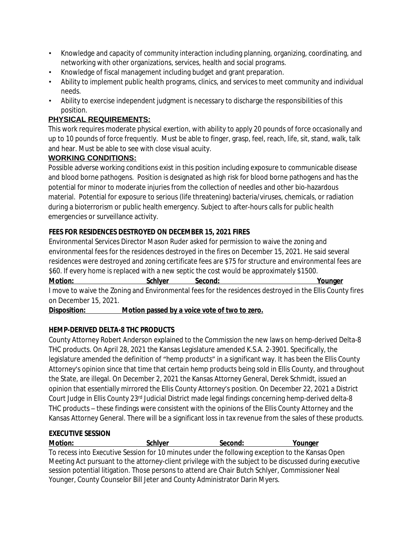- Knowledge and capacity of community interaction including planning, organizing, coordinating, and networking with other organizations, services, health and social programs.
- Knowledge of fiscal management including budget and grant preparation.
- Ability to implement public health programs, clinics, and services to meet community and individual needs.
- Ability to exercise independent judgment is necessary to discharge the responsibilities of this position.

# **PHYSICAL REQUIREMENTS:**

This work requires moderate physical exertion, with ability to apply 20 pounds of force occasionally and up to 10 pounds of force frequently. Must be able to finger, grasp, feel, reach, life, sit, stand, walk, talk and hear. Must be able to see with close visual acuity.

## **WORKING CONDITIONS:**

Possible adverse working conditions exist in this position including exposure to communicable disease and blood borne pathogens. Position is designated as high risk for blood borne pathogens and has the potential for minor to moderate injuries from the collection of needles and other bio-hazardous material. Potential for exposure to serious (life threatening) bacteria/viruses, chemicals, or radiation during a bioterrorism or public health emergency. Subject to after-hours calls for public health emergencies or surveillance activity.

## **FEES FOR RESIDENCES DESTROYED ON DECEMBER 15, 2021 FIRES**

Environmental Services Director Mason Ruder asked for permission to waive the zoning and environmental fees for the residences destroyed in the fires on December 15, 2021. He said several residences were destroyed and zoning certificate fees are \$75 for structure and environmental fees are \$60. If every home is replaced with a new septic the cost would be approximately \$1500.

**Motion:** Schlyer Second: Younger I move to waive the Zoning and Environmental fees for the residences destroyed in the Ellis County fires on December 15, 2021.

**Disposition: Motion passed by a voice vote of two to zero.**

## **HEMP-DERIVED DELTA-8 THC PRODUCTS**

County Attorney Robert Anderson explained to the Commission the new laws on hemp-derived Delta-8 THC products. On April 28, 2021 the Kansas Legislature amended K.S.A. 2-3901. Specifically, the legislature amended the definition of "hemp products" in a significant way. It has been the Ellis County Attorney's opinion since that time that certain hemp products being sold in Ellis County, and throughout the State, are illegal. On December 2, 2021 the Kansas Attorney General, Derek Schmidt, issued an opinion that essentially mirrored the Ellis County Attorney's position. On December 22, 2021 a District Court Judge in Ellis County 23rd Judicial District made legal findings concerning hemp-derived delta-8 THC products – these findings were consistent with the opinions of the Ellis County Attorney and the Kansas Attorney General. There will be a significant loss in tax revenue from the sales of these products.

## **EXECUTIVE SESSION**

**Motion: Schlyer Second: Younger** To recess into Executive Session for 10 minutes under the following exception to the Kansas Open Meeting Act pursuant to the attorney-client privilege with the subject to be discussed during executive session potential litigation. Those persons to attend are Chair Butch Schlyer, Commissioner Neal Younger, County Counselor Bill Jeter and County Administrator Darin Myers.